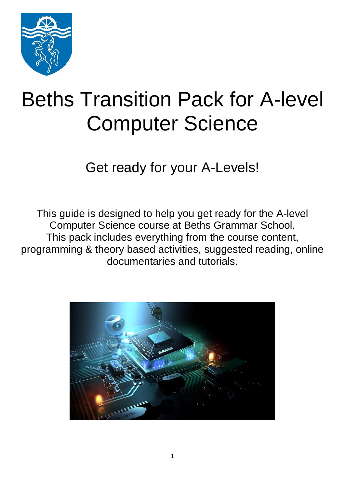

# Beths Transition Pack for A-level Computer Science

Get ready for your A-Levels!

This guide is designed to help you get ready for the A-level Computer Science course at Beths Grammar School. This pack includes everything from the course content, programming & theory based activities, suggested reading, online documentaries and tutorials.

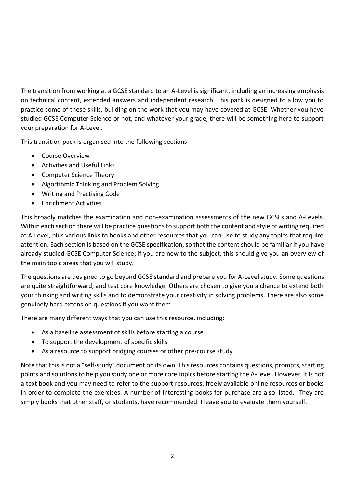The transition from working at a GCSE standard to an A-Level is significant, including an increasing emphasis on technical content, extended answers and independent research. This pack is designed to allow you to practice some of these skills, building on the work that you may have covered at GCSE. Whether you have studied GCSE Computer Science or not, and whatever your grade, there will be something here to support your preparation for A-Level.

This transition pack is organised into the following sections:

- Course Overview
- Activities and Useful Links
- Computer Science Theory
- Algorithmic Thinking and Problem Solving
- Writing and Practising Code
- **•** Enrichment Activities

This broadly matches the examination and non-examination assessments of the new GCSEs and A-Levels. Within each section there will be practice questions to support both the content and style of writing required at A-Level, plus various links to books and other resources that you can use to study any topics that require attention. Each section is based on the GCSE specification, so that the content should be familiar if you have already studied GCSE Computer Science; if you are new to the subject, this should give you an overview of the main topic areas that you will study.

The questions are designed to go beyond GCSE standard and prepare you for A-Level study. Some questions are quite straightforward, and test core knowledge. Others are chosen to give you a chance to extend both your thinking and writing skills and to demonstrate your creativity in solving problems. There are also some genuinely hard extension questions if you want them!

There are many different ways that you can use this resource, including:

- As a baseline assessment of skills before starting a course
- To support the development of specific skills
- As a resource to support bridging courses or other pre-course study

Note that this is not a "self-study" document on its own. This resources contains questions, prompts, starting points and solutions to help you study one or more core topics before starting the A-Level. However, it is not a text book and you may need to refer to the support resources, freely available online resources or books in order to complete the exercises. A number of interesting books for purchase are also listed. They are simply books that other staff, or students, have recommended. I leave you to evaluate them yourself.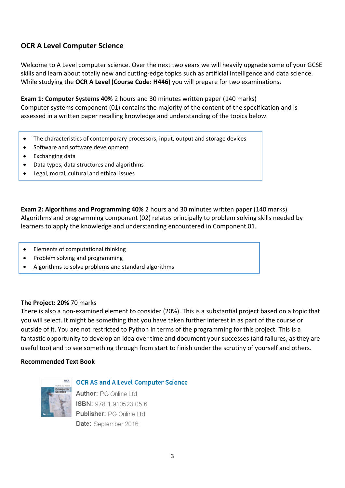### **OCR A Level Computer Science**

Welcome to A Level computer science. Over the next two years we will heavily upgrade some of your GCSE skills and learn about totally new and cutting-edge topics such as artificial intelligence and data science. While studying the **OCR A Level (Course Code: H446)** you will prepare for two examinations.

**Exam 1: Computer Systems 40%** 2 hours and 30 minutes written paper (140 marks) Computer systems component (01) contains the majority of the content of the specification and is assessed in a written paper recalling knowledge and understanding of the topics below.

- The characteristics of contemporary processors, input, output and storage devices
- Software and software development
- Exchanging data
- Data types, data structures and algorithms
- Legal, moral, cultural and ethical issues

**Exam 2: Algorithms and Programming 40%** 2 hours and 30 minutes written paper (140 marks) Algorithms and programming component (02) relates principally to problem solving skills needed by learners to apply the knowledge and understanding encountered in Component 01.

- Elements of computational thinking
- Problem solving and programming
- Algorithms to solve problems and standard algorithms

#### **The Project: 20%** 70 marks

There is also a non-examined element to consider (20%). This is a substantial project based on a topic that you will select. It might be something that you have taken further interest in as part of the course or outside of it. You are not restricted to Python in terms of the programming for this project. This is a fantastic opportunity to develop an idea over time and document your successes (and failures, as they are useful too) and to see something through from start to finish under the scrutiny of yourself and others.

#### **Recommended Text Book**



**OCR AS and A Level Computer Science** 

Author: PG Online Ltd ISBN: 978-1-910523-05-6 Publisher: PG Online Ltd Date: September 2016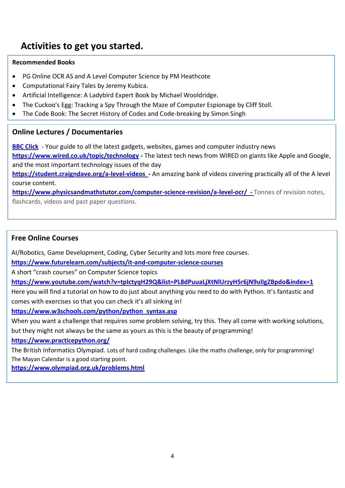### **Activities to get you started.**

#### **Recommended Books**

- PG Online OCR AS and A Level Computer Science by PM Heathcote
- Computational Fairy Tales by Jeremy Kubica.
- Artificial Intelligence: A Ladybird Expert Book by Michael Wooldridge.
- The Cuckoo's Egg: Tracking a Spy Through the Maze of Computer Espionage by Cliff Stoll.
- The Code Book: The Secret History of Codes and Code-breaking by Simon Singh

### **Online Lectures / Documentaries**

**BBC Click** - Your guide to all the latest gadgets, websites, games and computer industry news **<https://www.wired.co.uk/topic/technology> -** The latest tech news from WIRED on giants like Apple and Google, and the most important technology issues of the day **<https://student.craigndave.org/a-level-videos>-** An amazing bank of videos covering practically all of the A level

course content. **<https://www.physicsandmathstutor.com/computer-science-revision/a-level-ocr/>-** Tonnes of revision notes,

flashcards, videos and past paper questions.

### **Free Online Courses**

AI/Robotics, Game Development, Coding, Cyber Security and lots more free courses.

**<https://www.futurelearn.com/subjects/it-and-computer-science-courses>**

A short "crash courses" on Computer Science topics

**<https://www.youtube.com/watch?v=tpIctyqH29Q&list=PL8dPuuaLjXtNlUrzyH5r6jN9ulIgZBpdo&index=1>**

Here you will find a tutorial on how to do just about anything you need to do with Python. It's fantastic and comes with exercises so that you can check it's all sinking in!

**[https://www.w3schools.com/python/python\\_syntax.asp](https://www.w3schools.com/python/python_syntax.asp)**

When you want a challenge that requires some problem solving, try this. They all come with working solutions, but they might not always be the same as yours as this is the beauty of programming!

**<https://www.practicepython.org/>**

The British Informatics Olympiad. Lots of hard coding challenges. Like the maths challenge, only for programming! The Mayan Calendar is a good starting point.

**<https://www.olympiad.org.uk/problems.html>**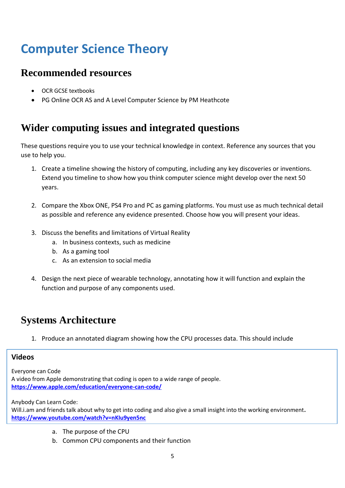## **Computer Science Theory**

### **Recommended resources**

- OCR GCSE textbooks
- PG Online OCR AS and A Level Computer Science by PM Heathcote

### **Wider computing issues and integrated questions**

These questions require you to use your technical knowledge in context. Reference any sources that you use to help you.

- 1. Create a timeline showing the history of computing, including any key discoveries or inventions. Extend you timeline to show how you think computer science might develop over the next 50 years.
- 2. Compare the Xbox ONE, PS4 Pro and PC as gaming platforms. You must use as much technical detail as possible and reference any evidence presented. Choose how you will present your ideas.
- 3. Discuss the benefits and limitations of Virtual Reality
	- a. In business contexts, such as medicine
	- b. As a gaming tool
	- c. As an extension to social media
- 4. Design the next piece of wearable technology, annotating how it will function and explain the function and purpose of any components used.

### **Systems Architecture**

1. Produce an annotated diagram showing how the CPU processes data. This should include

#### **Videos**

Everyone can Code A video from Apple demonstrating that coding is open to a wide range of people. **<https://www.apple.com/education/everyone-can-code/>**

Anybody Can Learn Code:

Will.i.am and friends talk about why to get into coding and also give a small insight into the working environment**. <https://www.youtube.com/watch?v=nKIu9yen5nc>**

- a. The purpose of the CPU
- b. Common CPU components and their function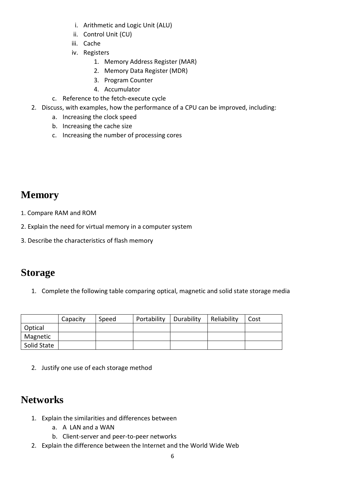- i. Arithmetic and Logic Unit (ALU)
- ii. Control Unit (CU)
- iii. Cache
- iv. Registers
	- 1. Memory Address Register (MAR)
	- 2. Memory Data Register (MDR)
	- 3. Program Counter
	- 4. Accumulator
- c. Reference to the fetch-execute cycle
- 2. Discuss, with examples, how the performance of a CPU can be improved, including:
	- a. Increasing the clock speed
	- b. Increasing the cache size
	- c. Increasing the number of processing cores

### **Memory**

- 1. Compare RAM and ROM
- 2. Explain the need for virtual memory in a computer system
- 3. Describe the characteristics of flash memory

### **Storage**

1. Complete the following table comparing optical, magnetic and solid state storage media

|             | Capacity | Speed | Portability | Durability | Reliability | Cost |
|-------------|----------|-------|-------------|------------|-------------|------|
| Optical     |          |       |             |            |             |      |
| Magnetic    |          |       |             |            |             |      |
| Solid State |          |       |             |            |             |      |

2. Justify one use of each storage method

### **Networks**

- 1. Explain the similarities and differences between
	- a. A LAN and a WAN
	- b. Client-server and peer-to-peer networks
- 2. Explain the difference between the Internet and the World Wide Web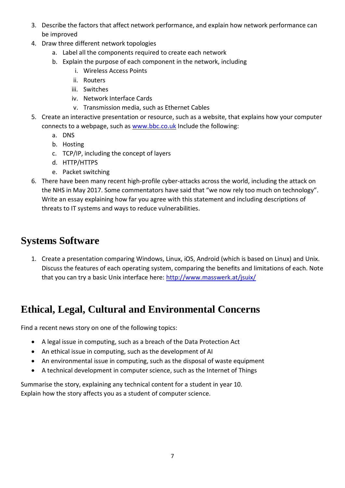- 3. Describe the factors that affect network performance, and explain how network performance can be improved
- 4. Draw three different network topologies
	- a. Label all the components required to create each network
	- b. Explain the purpose of each component in the network, including
		- i. Wireless Access Points
		- ii. Routers
		- iii. Switches
		- iv. Network Interface Cards
		- v. Transmission media, such as Ethernet Cables
- 5. Create an interactive presentation or resource, such as a website, that explains how your computer connects to a webpage, such as [www.bbc.co.uk](http://www.bbc.co.uk/) Include the following:
	- a. DNS
	- b. Hosting
	- c. TCP/IP, including the concept of layers
	- d. HTTP/HTTPS
	- e. Packet switching
- 6. There have been many recent high-profile cyber-attacks across the world, including the attack on the NHS in May 2017. Some commentators have said that "we now rely too much on technology". Write an essay explaining how far you agree with this statement and including descriptions of threats to IT systems and ways to reduce vulnerabilities.

### **Systems Software**

1. Create a presentation comparing Windows, Linux, iOS, Android (which is based on Linux) and Unix. Discuss the features of each operating system, comparing the benefits and limitations of each. Note that you can try a basic Unix interface here:<http://www.masswerk.at/jsuix/>

### **Ethical, Legal, Cultural and Environmental Concerns**

Find a recent news story on one of the following topics:

- A legal issue in computing, such as a breach of the Data Protection Act
- An ethical issue in computing, such as the development of AI
- An environmental issue in computing, such as the disposal of waste equipment
- A technical development in computer science, such as the Internet of Things

Summarise the story, explaining any technical content for a student in year 10. Explain how the story affects you as a student of computer science.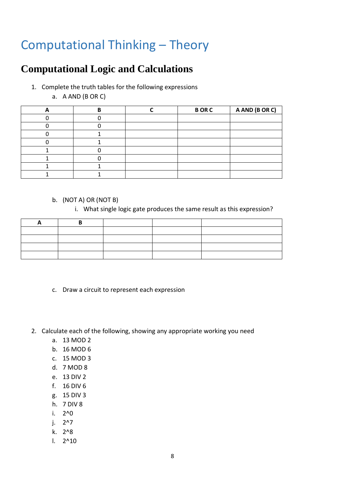## Computational Thinking – Theory

### **Computational Logic and Calculations**

- 1. Complete the truth tables for the following expressions
	- a. A AND (B OR C)

|  | <b>BORC</b> | A AND (B OR C) |
|--|-------------|----------------|
|  |             |                |
|  |             |                |
|  |             |                |
|  |             |                |
|  |             |                |
|  |             |                |
|  |             |                |
|  |             |                |

#### b. (NOT A) OR (NOT B)

i. What single logic gate produces the same result as this expression?

- c. Draw a circuit to represent each expression
- 2. Calculate each of the following, showing any appropriate working you need
	- a. 13 MOD 2
	- b. 16 MOD 6
	- c. 15 MOD 3
	- d. 7 MOD 8
	- e. 13 DIV 2
	- f. 16 DIV 6
	- g. 15 DIV 3
	- h. 7 DIV 8
	- i. 2^0
	- j. 2^7
	- k. 2^8
	- l. 2^10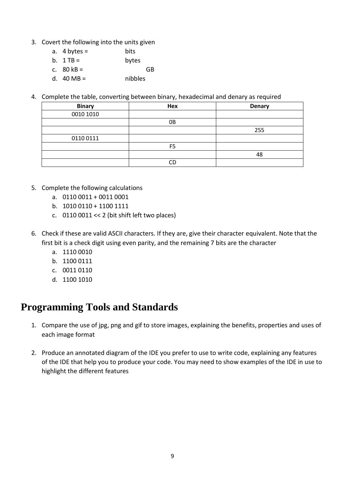- 3. Covert the following into the units given
	- a.  $4 \text{ bytes} = \text{ bits}$
	- b.  $1 TB =$  bytes
	- c.  $80 \text{ kB} =$  GB
	- d.  $40 \text{ MB} =$  nibbles
- 4. Complete the table, converting between binary, hexadecimal and denary as required

| <b>Binary</b> | Hex | <b>Denary</b> |
|---------------|-----|---------------|
| 0010 1010     |     |               |
|               | 0B  |               |
|               |     | 255           |
| 0110 0111     |     |               |
|               | ᄄ   |               |
|               |     | 48            |
|               | rг  |               |

- 5. Complete the following calculations
	- a. 0110 0011 + 0011 0001
	- b. 1010 0110 + 1100 1111
	- c.  $01100011 \ll 2$  (bit shift left two places)
- 6. Check if these are valid ASCII characters. If they are, give their character equivalent. Note that the first bit is a check digit using even parity, and the remaining 7 bits are the character
	- a. 1110 0010
	- b. 1100 0111
	- c. 0011 0110
	- d. 1100 1010

### **Programming Tools and Standards**

- 1. Compare the use of jpg, png and gif to store images, explaining the benefits, properties and uses of each image format
- 2. Produce an annotated diagram of the IDE you prefer to use to write code, explaining any features of the IDE that help you to produce your code. You may need to show examples of the IDE in use to highlight the different features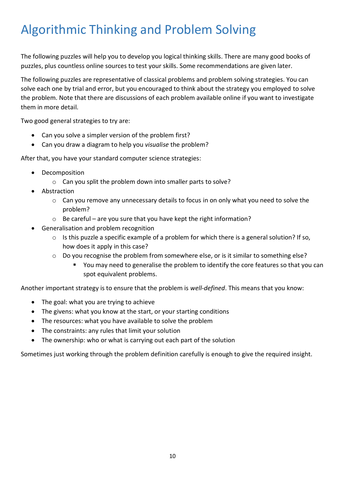## Algorithmic Thinking and Problem Solving

The following puzzles will help you to develop you logical thinking skills. There are many good books of puzzles, plus countless online sources to test your skills. Some recommendations are given later.

The following puzzles are representative of classical problems and problem solving strategies. You can solve each one by trial and error, but you encouraged to think about the strategy you employed to solve the problem. Note that there are discussions of each problem available online if you want to investigate them in more detail.

Two good general strategies to try are:

- Can you solve a simpler version of the problem first?
- Can you draw a diagram to help you *visualise* the problem?

After that, you have your standard computer science strategies:

- Decomposition
	- o Can you split the problem down into smaller parts to solve?
- Abstraction
	- o Can you remove any unnecessary details to focus in on only what you need to solve the problem?
	- o Be careful are you sure that you have kept the right information?
- Generalisation and problem recognition
	- o Is this puzzle a specific example of a problem for which there is a general solution? If so, how does it apply in this case?
	- o Do you recognise the problem from somewhere else, or is it similar to something else?
		- You may need to generalise the problem to identify the core features so that you can spot equivalent problems.

Another important strategy is to ensure that the problem is *well-defined*. This means that you know:

- The goal: what you are trying to achieve
- The givens: what you know at the start, or your starting conditions
- The resources: what you have available to solve the problem
- The constraints: any rules that limit your solution
- The ownership: who or what is carrying out each part of the solution

Sometimes just working through the problem definition carefully is enough to give the required insight.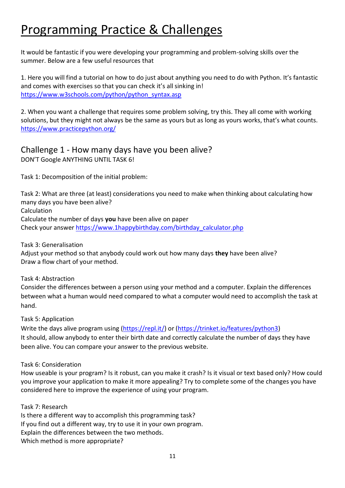## Programming Practice & Challenges

It would be fantastic if you were developing your programming and problem-solving skills over the summer. Below are a few useful resources that

1. Here you will find a tutorial on how to do just about anything you need to do with Python. It's fantastic and comes with exercises so that you can check it's all sinking in! [https://www.w3schools.com/python/python\\_syntax.asp](https://www.w3schools.com/python/python_syntax.asp)

2. When you want a challenge that requires some problem solving, try this. They all come with working solutions, but they might not always be the same as yours but as long as yours works, that's what counts. <https://www.practicepython.org/>

### Challenge 1 - How many days have you been alive? DON'T Google ANYTHING UNTIL TASK 6!

Task 1: Decomposition of the initial problem:

Task 2: What are three (at least) considerations you need to make when thinking about calculating how many days you have been alive? Calculation Calculate the number of days **you** have been alive on paper Check your answer [https://www.1happybirthday.com/birthday\\_calculator.php](https://www.1happybirthday.com/birthday_calculator.php)

Task 3: Generalisation Adjust your method so that anybody could work out how many days **they** have been alive? Draw a flow chart of your method.

Task 4: Abstraction

Consider the differences between a person using your method and a computer. Explain the differences between what a human would need compared to what a computer would need to accomplish the task at hand.

Task 5: Application

Write the days alive program using [\(https://repl.it/\)](https://repl.it/) or [\(https://trinket.io/features/python3\)](https://trinket.io/features/python3) It should, allow anybody to enter their birth date and correctly calculate the number of days they have been alive. You can compare your answer to the previous website.

Task 6: Consideration

How useable is your program? Is it robust, can you make it crash? Is it visual or text based only? How could you improve your application to make it more appealing? Try to complete some of the changes you have considered here to improve the experience of using your program.

Task 7: Research Is there a different way to accomplish this programming task? If you find out a different way, try to use it in your own program. Explain the differences between the two methods. Which method is more appropriate?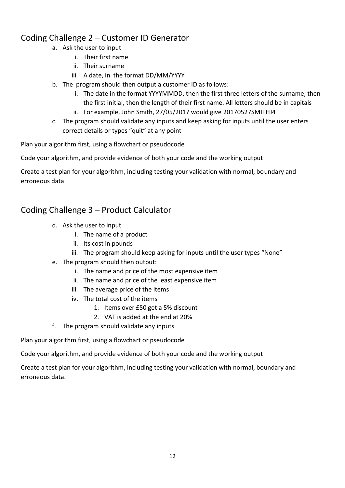### Coding Challenge 2 – Customer ID Generator

- a. Ask the user to input
	- i. Their first name
	- ii. Their surname
	- iii. A date, in the format DD/MM/YYYY
- b. The program should then output a customer ID as follows:
	- i. The date in the format YYYYMMDD, then the first three letters of the surname, then the first initial, then the length of their first name. All letters should be in capitals
	- ii. For example, John Smith, 27/05/2017 would give 20170527SMITHJ4
- c. The program should validate any inputs and keep asking for inputs until the user enters correct details or types "quit" at any point

Plan your algorithm first, using a flowchart or pseudocode

Code your algorithm, and provide evidence of both your code and the working output

Create a test plan for your algorithm, including testing your validation with normal, boundary and erroneous data

### Coding Challenge 3 – Product Calculator

- d. Ask the user to input
	- i. The name of a product
	- ii. Its cost in pounds
	- iii. The program should keep asking for inputs until the user types "None"
- e. The program should then output:
	- i. The name and price of the most expensive item
	- ii. The name and price of the least expensive item
	- iii. The average price of the items
	- iv. The total cost of the items
		- 1. Items over £50 get a 5% discount
		- 2. VAT is added at the end at 20%
- f. The program should validate any inputs

Plan your algorithm first, using a flowchart or pseudocode

Code your algorithm, and provide evidence of both your code and the working output

Create a test plan for your algorithm, including testing your validation with normal, boundary and erroneous data.